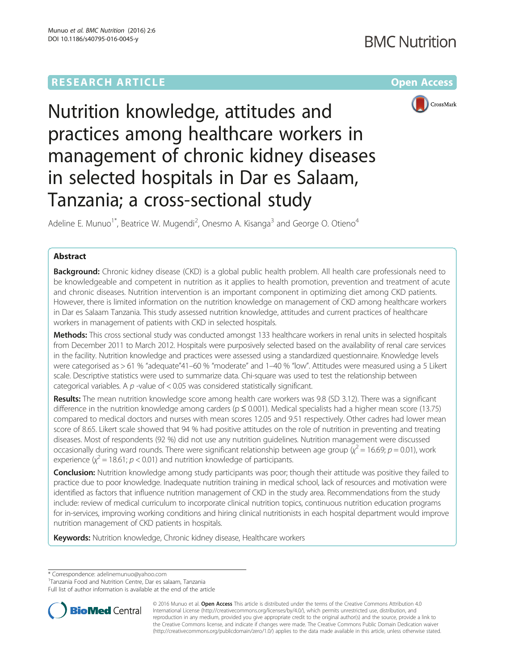

Nutrition knowledge, attitudes and practices among healthcare workers in management of chronic kidney diseases in selected hospitals in Dar es Salaam, Tanzania; a cross-sectional study

Adeline E. Munuo<sup>1\*</sup>, Beatrice W. Mugendi<sup>2</sup>, Onesmo A. Kisanga<sup>3</sup> and George O. Otieno<sup>4</sup>

# Abstract

Background: Chronic kidney disease (CKD) is a global public health problem. All health care professionals need to be knowledgeable and competent in nutrition as it applies to health promotion, prevention and treatment of acute and chronic diseases. Nutrition intervention is an important component in optimizing diet among CKD patients. However, there is limited information on the nutrition knowledge on management of CKD among healthcare workers in Dar es Salaam Tanzania. This study assessed nutrition knowledge, attitudes and current practices of healthcare workers in management of patients with CKD in selected hospitals.

Methods: This cross sectional study was conducted amongst 133 healthcare workers in renal units in selected hospitals from December 2011 to March 2012. Hospitals were purposively selected based on the availability of renal care services in the facility. Nutrition knowledge and practices were assessed using a standardized questionnaire. Knowledge levels were categorised as > 61 % "adequate"41–60 % "moderate" and 1–40 % "low". Attitudes were measured using a 5 Likert scale. Descriptive statistics were used to summarize data. Chi-square was used to test the relationship between categorical variables. A  $p$  -value of  $< 0.05$  was considered statistically significant.

Results: The mean nutrition knowledge score among health care workers was 9.8 (SD 3.12). There was a significant difference in the nutrition knowledge among carders ( $p \le 0.001$ ). Medical specialists had a higher mean score (13.75) compared to medical doctors and nurses with mean scores 12.05 and 9.51 respectively. Other cadres had lower mean score of 8.65. Likert scale showed that 94 % had positive attitudes on the role of nutrition in preventing and treating diseases. Most of respondents (92 %) did not use any nutrition guidelines. Nutrition management were discussed occasionally during ward rounds. There were significant relationship between age group  $(\chi^2 = 16.69; p = 0.01)$ , work experience  $(\chi^2 = 18.61; p < 0.01)$  and nutrition knowledge of participants.

**Conclusion:** Nutrition knowledge among study participants was poor; though their attitude was positive they failed to practice due to poor knowledge. Inadequate nutrition training in medical school, lack of resources and motivation were identified as factors that influence nutrition management of CKD in the study area. Recommendations from the study include: review of medical curriculum to incorporate clinical nutrition topics, continuous nutrition education programs for in-services, improving working conditions and hiring clinical nutritionists in each hospital department would improve nutrition management of CKD patients in hospitals.

**Keywords:** Nutrition knowledge, Chronic kidney disease, Healthcare workers

\* Correspondence: [adelinemunuo@yahoo.com](mailto:adelinemunuo@yahoo.com) <sup>1</sup>

Tanzania Food and Nutrition Centre, Dar es salaam, Tanzania

Full list of author information is available at the end of the article



© 2016 Munuo et al. Open Access This article is distributed under the terms of the Creative Commons Attribution 4.0 International License [\(http://creativecommons.org/licenses/by/4.0/](http://creativecommons.org/licenses/by/4.0/)), which permits unrestricted use, distribution, and reproduction in any medium, provided you give appropriate credit to the original author(s) and the source, provide a link to the Creative Commons license, and indicate if changes were made. The Creative Commons Public Domain Dedication waiver [\(http://creativecommons.org/publicdomain/zero/1.0/](http://creativecommons.org/publicdomain/zero/1.0/)) applies to the data made available in this article, unless otherwise stated.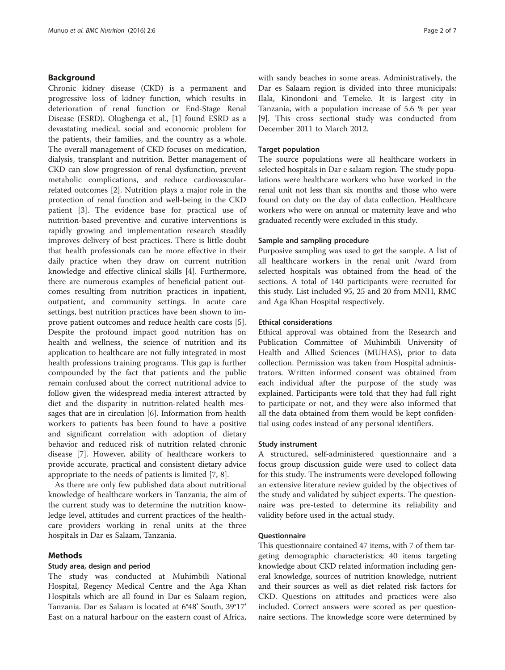# Background

Chronic kidney disease (CKD) is a permanent and progressive loss of kidney function, which results in deterioration of renal function or End-Stage Renal Disease (ESRD). Olugbenga et al., [[1\]](#page-5-0) found ESRD as a devastating medical, social and economic problem for the patients, their families, and the country as a whole. The overall management of CKD focuses on medication, dialysis, transplant and nutrition. Better management of CKD can slow progression of renal dysfunction, prevent metabolic complications, and reduce cardiovascularrelated outcomes [[2\]](#page-5-0). Nutrition plays a major role in the protection of renal function and well-being in the CKD patient [\[3\]](#page-5-0). The evidence base for practical use of nutrition-based preventive and curative interventions is rapidly growing and implementation research steadily improves delivery of best practices. There is little doubt that health professionals can be more effective in their daily practice when they draw on current nutrition knowledge and effective clinical skills [[4\]](#page-5-0). Furthermore, there are numerous examples of beneficial patient outcomes resulting from nutrition practices in inpatient, outpatient, and community settings. In acute care settings, best nutrition practices have been shown to improve patient outcomes and reduce health care costs [\[5](#page-5-0)]. Despite the profound impact good nutrition has on health and wellness, the science of nutrition and its application to healthcare are not fully integrated in most health professions training programs. This gap is further compounded by the fact that patients and the public remain confused about the correct nutritional advice to follow given the widespread media interest attracted by diet and the disparity in nutrition-related health messages that are in circulation [[6\]](#page-5-0). Information from health workers to patients has been found to have a positive and significant correlation with adoption of dietary behavior and reduced risk of nutrition related chronic disease [[7\]](#page-5-0). However, ability of healthcare workers to provide accurate, practical and consistent dietary advice appropriate to the needs of patients is limited [[7, 8\]](#page-5-0).

As there are only few published data about nutritional knowledge of healthcare workers in Tanzania, the aim of the current study was to determine the nutrition knowledge level, attitudes and current practices of the healthcare providers working in renal units at the three hospitals in Dar es Salaam, Tanzania.

#### Methods

### Study area, design and period

The study was conducted at Muhimbili National Hospital, Regency Medical Centre and the Aga Khan Hospitals which are all found in Dar es Salaam region, Tanzania. Dar es Salaam is located at 6°48' South, 39°17' East on a natural harbour on the eastern coast of Africa, with sandy beaches in some areas. Administratively, the Dar es Salaam region is divided into three municipals: Ilala, Kinondoni and Temeke. It is largest city in Tanzania, with a population increase of 5.6 % per year [[9\]](#page-5-0). This cross sectional study was conducted from December 2011 to March 2012.

#### Target population

The source populations were all healthcare workers in selected hospitals in Dar e salaam region. The study populations were healthcare workers who have worked in the renal unit not less than six months and those who were found on duty on the day of data collection. Healthcare workers who were on annual or maternity leave and who graduated recently were excluded in this study.

#### Sample and sampling procedure

Purposive sampling was used to get the sample. A list of all healthcare workers in the renal unit /ward from selected hospitals was obtained from the head of the sections. A total of 140 participants were recruited for this study. List included 95, 25 and 20 from MNH, RMC and Aga Khan Hospital respectively.

#### Ethical considerations

Ethical approval was obtained from the Research and Publication Committee of Muhimbili University of Health and Allied Sciences (MUHAS), prior to data collection. Permission was taken from Hospital administrators. Written informed consent was obtained from each individual after the purpose of the study was explained. Participants were told that they had full right to participate or not, and they were also informed that all the data obtained from them would be kept confidential using codes instead of any personal identifiers.

#### Study instrument

A structured, self-administered questionnaire and a focus group discussion guide were used to collect data for this study. The instruments were developed following an extensive literature review guided by the objectives of the study and validated by subject experts. The questionnaire was pre-tested to determine its reliability and validity before used in the actual study.

# Questionnaire

This questionnaire contained 47 items, with 7 of them targeting demographic characteristics; 40 items targeting knowledge about CKD related information including general knowledge, sources of nutrition knowledge, nutrient and their sources as well as diet related risk factors for CKD. Questions on attitudes and practices were also included. Correct answers were scored as per questionnaire sections. The knowledge score were determined by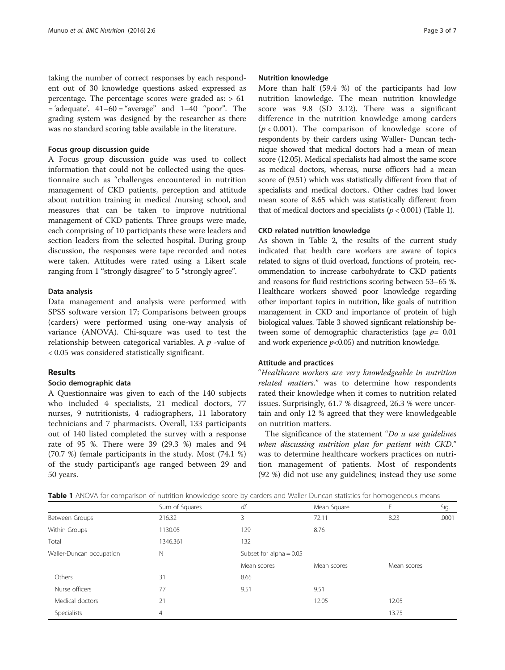<span id="page-2-0"></span>taking the number of correct responses by each respondent out of 30 knowledge questions asked expressed as percentage. The percentage scores were graded as:  $> 61$  $=$  'adequate'.  $41-60 =$  "average" and  $1-40$  "poor". The grading system was designed by the researcher as there was no standard scoring table available in the literature.

#### Focus group discussion guide

A Focus group discussion guide was used to collect information that could not be collected using the questionnaire such as "challenges encountered in nutrition management of CKD patients, perception and attitude about nutrition training in medical /nursing school, and measures that can be taken to improve nutritional management of CKD patients. Three groups were made, each comprising of 10 participants these were leaders and section leaders from the selected hospital. During group discussion, the responses were tape recorded and notes were taken. Attitudes were rated using a Likert scale ranging from 1 "strongly disagree" to 5 "strongly agree".

#### Data analysis

Data management and analysis were performed with SPSS software version 17; Comparisons between groups (carders) were performed using one-way analysis of variance (ANOVA). Chi-square was used to test the relationship between categorical variables. A  $p$  -value of < 0.05 was considered statistically significant.

#### Results

### Socio demographic data

A Questionnaire was given to each of the 140 subjects who included 4 specialists, 21 medical doctors, 77 nurses, 9 nutritionists, 4 radiographers, 11 laboratory technicians and 7 pharmacists. Overall, 133 participants out of 140 listed completed the survey with a response rate of 95 %. There were 39 (29.3 %) males and 94 (70.7 %) female participants in the study. Most (74.1 %) of the study participant's age ranged between 29 and 50 years.

#### Nutrition knowledge

More than half (59.4 %) of the participants had low nutrition knowledge. The mean nutrition knowledge score was 9.8 (SD 3.12). There was a significant difference in the nutrition knowledge among carders  $(p < 0.001)$ . The comparison of knowledge score of respondents by their carders using Waller- Duncan technique showed that medical doctors had a mean of mean score (12.05). Medical specialists had almost the same score as medical doctors, whereas, nurse officers had a mean score of (9.51) which was statistically different from that of specialists and medical doctors.. Other cadres had lower mean score of 8.65 which was statistically different from that of medical doctors and specialists ( $p < 0.001$ ) (Table 1).

#### CKD related nutrition knowledge

As shown in Table [2](#page-3-0), the results of the current study indicated that health care workers are aware of topics related to signs of fluid overload, functions of protein, recommendation to increase carbohydrate to CKD patients and reasons for fluid restrictions scoring between 53–65 %. Healthcare workers showed poor knowledge regarding other important topics in nutrition, like goals of nutrition management in CKD and importance of protein of high biological values. Table [3](#page-3-0) showed signficant relationship between some of demographic characteristics (age  $p=0.01$ ) and work experience  $p<0.05$ ) and nutrition knowledge.

#### Attitude and practices

"Healthcare workers are very knowledgeable in nutrition related matters." was to determine how respondents rated their knowledge when it comes to nutrition related issues. Surprisingly, 61.7 % disagreed, 26.3 % were uncertain and only 12 % agreed that they were knowledgeable on nutrition matters.

The significance of the statement "Do  $u$  use guidelines when discussing nutrition plan for patient with CKD." was to determine healthcare workers practices on nutrition management of patients. Most of respondents (92 %) did not use any guidelines; instead they use some

|  |  | Table 1 ANOVA for comparison of nutrition knowledge score by carders and Waller Duncan statistics for homogeneous means |  |  |  |  |
|--|--|-------------------------------------------------------------------------------------------------------------------------|--|--|--|--|
|  |  |                                                                                                                         |  |  |  |  |

|                          |                | $\overline{\phantom{a}}$  |             |             |       |
|--------------------------|----------------|---------------------------|-------------|-------------|-------|
|                          | Sum of Squares | df                        | Mean Square | E           | Sig.  |
| Between Groups           | 216.32         | 3                         | 72.11       | 8.23        | .0001 |
| Within Groups            | 1130.05        | 129                       | 8.76        |             |       |
| Total                    | 1346.361       | 132                       |             |             |       |
| Waller-Duncan occupation | N              | Subset for alpha $= 0.05$ |             |             |       |
|                          |                | Mean scores               | Mean scores | Mean scores |       |
| Others                   | 31             | 8.65                      |             |             |       |
| Nurse officers           | 77             | 9.51                      | 9.51        |             |       |
| Medical doctors          | 21             |                           | 12.05       | 12.05       |       |
| <b>Specialists</b>       | $\overline{4}$ |                           |             | 13.75       |       |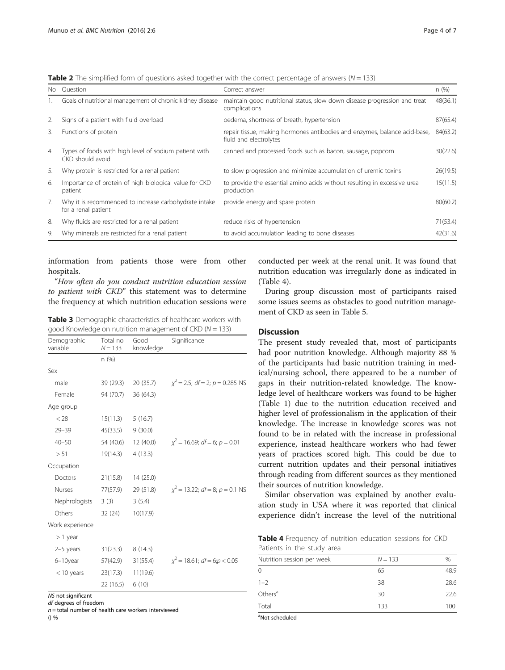<span id="page-3-0"></span>**Table 2** The simplified form of questions asked together with the correct percentage of answers ( $N = 133$ )

|    | No Question                                                                  | Correct answer                                                                                      | n (%)    |
|----|------------------------------------------------------------------------------|-----------------------------------------------------------------------------------------------------|----------|
|    | Goals of nutritional management of chronic kidney disease                    | maintain good nutritional status, slow down disease progression and treat<br>complications          | 48(36.1) |
| 2. | Signs of a patient with fluid overload                                       | oedema, shortness of breath, hypertension                                                           | 87(65.4) |
| 3. | Functions of protein                                                         | repair tissue, making hormones antibodies and enzymes, balance acid-base,<br>fluid and electrolytes | 84(63.2) |
| 4. | Types of foods with high level of sodium patient with<br>CKD should avoid    | canned and processed foods such as bacon, sausage, popcorn                                          | 30(22.6) |
| 5. | Why protein is restricted for a renal patient                                | to slow progression and minimize accumulation of uremic toxins                                      | 26(19.5) |
| 6. | Importance of protein of high biological value for CKD<br>patient            | to provide the essential amino acids without resulting in excessive urea<br>production              | 15(11.5) |
| 7. | Why it is recommended to increase carbohydrate intake<br>for a renal patient | provide energy and spare protein                                                                    | 80(60.2) |
| 8. | Why fluids are restricted for a renal patient                                | reduce risks of hypertension                                                                        | 71(53.4) |
| 9. | Why minerals are restricted for a renal patient                              | to avoid accumulation leading to bone diseases                                                      | 42(31.6) |

information from patients those were from other hospitals.

"How often do you conduct nutrition education session to patient with CKD" this statement was to determine the frequency at which nutrition education sessions were

Table 3 Demographic characteristics of healthcare workers with good Knowledge on nutrition management of  $CKD (N = 133)$ 

| Demographic<br>variable | Total no<br>$N = 133$ | Good<br>knowledge | Significance                       |
|-------------------------|-----------------------|-------------------|------------------------------------|
|                         | n (%)                 |                   |                                    |
| Sex                     |                       |                   |                                    |
| male                    | 39 (29.3)             | 20 (35.7)         | $x^2 = 2.5$ ; df = 2; p = 0.285 NS |
| Female                  | 94 (70.7)             | 36 (64.3)         |                                    |
| Age group               |                       |                   |                                    |
| < 28                    | 15(11.3)              | 5(16.7)           |                                    |
| $29 - 39$               | 45(33.5)              | 9(30.0)           |                                    |
| $40 - 50$               | 54 (40.6)             | 12 (40.0)         | $x^2 = 16.69$ ; df = 6; p = 0.01   |
| > 51                    | 19(14.3)              | 4(13.3)           |                                    |
| Occupation              |                       |                   |                                    |
| Doctors                 | 21(15.8)              | 14(25.0)          |                                    |
| Nurses                  | 77(57.9)              | 29 (51.8)         | $x^2$ = 13.22; df = 8; p = 0.1 NS  |
| Nephrologists           | 3(3)                  | 3(5.4)            |                                    |
| Others                  | 32 (24)               | 10(17.9)          |                                    |
| Work experience         |                       |                   |                                    |
| $>1$ year               |                       |                   |                                    |
| $2-5$ years             | 31(23.3)              | 8(14.3)           |                                    |
| 6-10year                | 57(42.9)              | 31(55.4)          | $x^2 = 18.61$ ; df = 6;p < 0.05    |
| $<$ 10 years            | 23(17.3)              | 11(19.6)          |                                    |
|                         | 22 (16.5)             | 6(10)             |                                    |

NS not significant

df degrees of freedom

 $n =$  total number of health care workers interviewed

 $()$  %

conducted per week at the renal unit. It was found that nutrition education was irregularly done as indicated in (Table 4).

During group discussion most of participants raised some issues seems as obstacles to good nutrition management of CKD as seen in Table [5](#page-4-0).

# Discussion

The present study revealed that, most of participants had poor nutrition knowledge. Although majority 88 % of the participants had basic nutrition training in medical/nursing school, there appeared to be a number of gaps in their nutrition-related knowledge. The knowledge level of healthcare workers was found to be higher (Table [1\)](#page-2-0) due to the nutrition education received and higher level of professionalism in the application of their knowledge. The increase in knowledge scores was not found to be in related with the increase in professional experience, instead healthcare workers who had fewer years of practices scored high. This could be due to current nutrition updates and their personal initiatives through reading from different sources as they mentioned their sources of nutrition knowledge.

Similar observation was explained by another evaluation study in USA where it was reported that clinical experience didn't increase the level of the nutritional

Table 4 Frequency of nutrition education sessions for CKD Patients in the study area

| Nutrition session per week | $N = 133$ | %    |
|----------------------------|-----------|------|
| $\overline{0}$             | 65        | 48.9 |
| $1 - 2$                    | 38        | 28.6 |
| Others <sup>a</sup>        | 30        | 22.6 |
| Total                      | 133       | 100  |
|                            |           |      |

a Not scheduled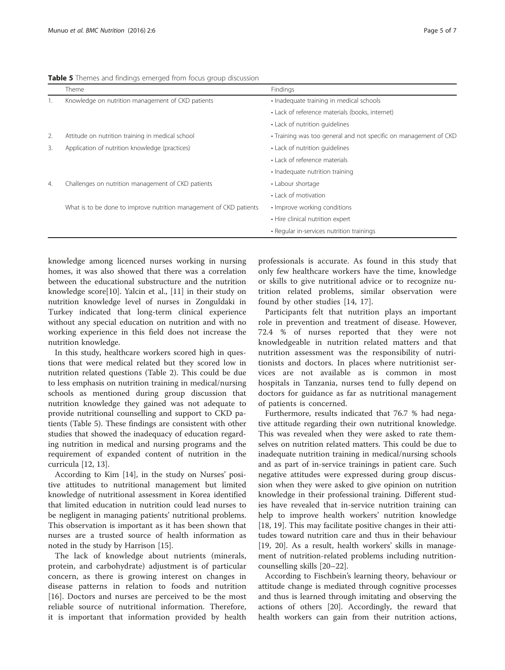|    | Theme                                                              | Findings                                                         |
|----|--------------------------------------------------------------------|------------------------------------------------------------------|
|    | Knowledge on nutrition management of CKD patients                  | · Inadequate training in medical schools                         |
|    |                                                                    | • Lack of reference materials (books, internet)                  |
|    |                                                                    | • Lack of nutrition quidelines                                   |
| 2. | Attitude on nutrition training in medical school                   | • Training was too general and not specific on management of CKD |
| 3. | Application of nutrition knowledge (practices)                     | • Lack of nutrition quidelines                                   |
|    |                                                                    | • Lack of reference materials                                    |
|    |                                                                    | · Inadequate nutrition training                                  |
| 4. | Challenges on nutrition management of CKD patients                 | • Labour shortage                                                |
|    |                                                                    | • Lack of motivation                                             |
|    | What is to be done to improve nutrition management of CKD patients | • Improve working conditions                                     |
|    |                                                                    | • Hire clinical nutrition expert                                 |
|    |                                                                    | • Regular in-services nutrition trainings                        |

<span id="page-4-0"></span>Table 5 Themes and findings emerged from focus group discussion

knowledge among licenced nurses working in nursing homes, it was also showed that there was a correlation between the educational substructure and the nutrition knowledge score[\[10](#page-5-0)]. Yalcin et al., [\[11\]](#page-5-0) in their study on nutrition knowledge level of nurses in Zonguldaki in Turkey indicated that long-term clinical experience without any special education on nutrition and with no working experience in this field does not increase the nutrition knowledge.

In this study, healthcare workers scored high in questions that were medical related but they scored low in nutrition related questions (Table [2](#page-3-0)). This could be due to less emphasis on nutrition training in medical/nursing schools as mentioned during group discussion that nutrition knowledge they gained was not adequate to provide nutritional counselling and support to CKD patients (Table 5). These findings are consistent with other studies that showed the inadequacy of education regarding nutrition in medical and nursing programs and the requirement of expanded content of nutrition in the curricula [\[12, 13\]](#page-5-0).

According to Kim [[14](#page-5-0)], in the study on Nurses' positive attitudes to nutritional management but limited knowledge of nutritional assessment in Korea identified that limited education in nutrition could lead nurses to be negligent in managing patients' nutritional problems. This observation is important as it has been shown that nurses are a trusted source of health information as noted in the study by Harrison [\[15](#page-5-0)].

The lack of knowledge about nutrients (minerals, protein, and carbohydrate) adjustment is of particular concern, as there is growing interest on changes in disease patterns in relation to foods and nutrition [[16\]](#page-5-0). Doctors and nurses are perceived to be the most reliable source of nutritional information. Therefore, it is important that information provided by health

professionals is accurate. As found in this study that only few healthcare workers have the time, knowledge or skills to give nutritional advice or to recognize nutrition related problems, similar observation were found by other studies [[14, 17\]](#page-5-0).

Participants felt that nutrition plays an important role in prevention and treatment of disease. However, 72.4 % of nurses reported that they were not knowledgeable in nutrition related matters and that nutrition assessment was the responsibility of nutritionists and doctors. In places where nutritionist services are not available as is common in most hospitals in Tanzania, nurses tend to fully depend on doctors for guidance as far as nutritional management of patients is concerned.

Furthermore, results indicated that 76.7 % had negative attitude regarding their own nutritional knowledge. This was revealed when they were asked to rate themselves on nutrition related matters. This could be due to inadequate nutrition training in medical/nursing schools and as part of in-service trainings in patient care. Such negative attitudes were expressed during group discussion when they were asked to give opinion on nutrition knowledge in their professional training. Different studies have revealed that in-service nutrition training can help to improve health workers' nutrition knowledge [[18, 19\]](#page-5-0). This may facilitate positive changes in their attitudes toward nutrition care and thus in their behaviour [[19, 20](#page-5-0)]. As a result, health workers' skills in management of nutrition-related problems including nutritioncounselling skills [\[20](#page-5-0)–[22\]](#page-6-0).

According to Fischbein's learning theory, behaviour or attitude change is mediated through cognitive processes and thus is learned through imitating and observing the actions of others [\[20](#page-5-0)]. Accordingly, the reward that health workers can gain from their nutrition actions,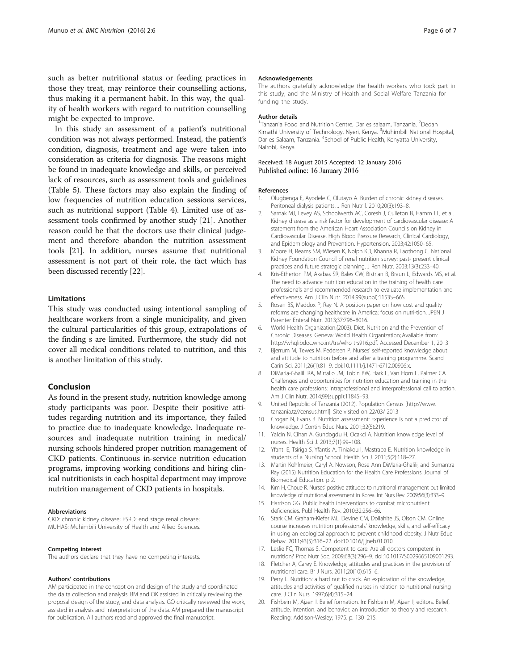<span id="page-5-0"></span>such as better nutritional status or feeding practices in those they treat, may reinforce their counselling actions, thus making it a permanent habit. In this way, the quality of health workers with regard to nutrition counselling might be expected to improve.

In this study an assessment of a patient's nutritional condition was not always performed. Instead, the patient's condition, diagnosis, treatment and age were taken into consideration as criteria for diagnosis. The reasons might be found in inadequate knowledge and skills, or perceived lack of resources, such as assessment tools and guidelines (Table [5\)](#page-4-0). These factors may also explain the finding of low frequencies of nutrition education sessions services, such as nutritional support (Table [4\)](#page-3-0). Limited use of assessment tools confirmed by another study [[21](#page-6-0)]. Another reason could be that the doctors use their clinical judgement and therefore abandon the nutrition assessment tools [[21](#page-6-0)]. In addition, nurses assume that nutritional assessment is not part of their role, the fact which has been discussed recently [\[22\]](#page-6-0).

### Limitations

This study was conducted using intentional sampling of healthcare workers from a single municipality, and given the cultural particularities of this group, extrapolations of the finding s are limited. Furthermore, the study did not cover all medical conditions related to nutrition, and this is another limitation of this study.

# Conclusion

As found in the present study, nutrition knowledge among study participants was poor. Despite their positive attitudes regarding nutrition and its importance, they failed to practice due to inadequate knowledge. Inadequate resources and inadequate nutrition training in medical/ nursing schools hindered proper nutrition management of CKD patients. Continuous in-service nutrition education programs, improving working conditions and hiring clinical nutritionists in each hospital department may improve nutrition management of CKD patients in hospitals.

#### Abbreviations

CKD: chronic kidney disease; ESRD: end stage renal disease; MUHAS: Muhimbili University of Health and Allied Sciences.

#### Competing interest

The authors declare that they have no competing interests.

#### Authors' contributions

AM participated in the concept on and design of the study and coordinated the da ta collection and analysis. BM and OK assisted in critically reviewing the proposal design of the study, and data analysis. GO critically reviewed the work, assisted in analysis and interpretation of the data. AM prepared the manuscript for publication. All authors read and approved the final manuscript.

#### Acknowledgements

The authors gratefully acknowledge the health workers who took part in this study, and the Ministry of Health and Social Welfare Tanzania for funding the study.

#### Author details

<sup>1</sup>Tanzania Food and Nutrition Centre, Dar es salaam, Tanzania. <sup>2</sup>Dedan Kimathi University of Technology, Nyeri, Kenya. <sup>3</sup>Muhimbili National Hospital Dar es Salaam, Tanzania. <sup>4</sup>School of Public Health, Kenyatta University, Nairobi, Kenya.

#### Received: 18 August 2015 Accepted: 12 January 2016 Published online: 16 January 2016

#### References

- 1. Olugbenga E, Ayodele C, Olutayo A. Burden of chronic kidney diseases. Peritoneal dialysis patients. J Ren Nutr l. 2010;20(3):193–8.
- 2. Sarnak MJ, Levey AS, Schoolwerth AC, Coresh J, Culleton B, Hamm LL, et al. Kidney disease as a risk factor for development of cardiovascular disease: A statement from the American Heart Association Councils on Kidney in Cardiovascular Disease, High Blood Pressure Research, Clinical Cardiology, and Epidemiology and Prevention. Hypertension. 2003;42:1050–65.
- 3. Moore H, Reams SM, Wiesen K, Nolph KD, Khanna R, Laothong C. National Kidney Foundation Council of renal nutrition survey: past- present clinical practices and future strategic planning. J Ren Nutr. 2003;13(3):233–40.
- 4. Kris-Etherton PM, Akabas SR, Bales CW, Bistrian B, Braun L, Edwards MS, et al. The need to advance nutrition education in the training of health care professionals and recommended research to evaluate implementation and effectiveness. Am J Clin Nutr. 2014;99(suppl):1153S–66S.
- 5. Rosen BS, Maddox P, Ray N. A position paper on how cost and quality reforms are changing healthcare in America: focus on nutri-tion. JPEN J Parenter Enteral Nutr. 2013;37:796–8016.
- 6. World Health Organization.(2003). Diet, Nutrition and the Prevention of Chronic Diseases. Geneva: World Health Organization;.Available from: <http://whqlibdoc.who.int/trs/who> trs916.pdf. Accessed December 1, 2013
- 7. Bjerrum M, Tewes M, Pedersen P. Nurses' self-reported knowledge about and attitude to nutrition before and after a training programme. Scand Carin Sci. 2011;26(1):81–9. doi[:10.1111/j.1471-6712.00906.x.](http://dx.doi.org/10.1111/j.1471-6712.00906.x)
- 8. DiMaria-Ghalili RA, Mirtallo JM, Tobin BW, Hark L, Van Horn L, Palmer CA. Challenges and opportunities for nutrition education and training in the health care professions: intraprofessional and interprofessional call to action. Am J Clin Nutr. 2014;99(suppl):1184S–93.
- 9. United Republic of Tanzania (2012). Population Census [[http://www.](http://www.tanzania.tz//census.html) [tanzania.tz//census.html\]](http://www.tanzania.tz//census.html). Site visited on 22/03/ 2013
- 10. Crogan N, Evans B. Nutrition assessment: Experience is not a predictor of knowledge. J Contin Educ Nurs. 2001;32(5):219.
- 11. Yalcin N, Cihan A, Gundogdu H, Ocakci A. Nutrition knowledge level of nurses. Health Sci J. 2013;7(1):99–108.
- 12. Yfanti E, Tsiriga S, Yfantis A, Tiniakou I, Mastrapa E. Nutrition knowledge in students of a Nursing School. Health Scı J. 2011;5(2):118–27.
- 13. Martin Kohlmeier, Caryl A. Nowson, Rose Ann DiMaria-Ghalili, and Sumantra Ray (2015) Nutrition Education for the Health Care Professions. Journal of Biomedical Education. p 2.
- 14. Kım H, Choue R. Nurses' positive attitudes to nutritional management but limited knowledge of nutritional assessment in Korea. Int Nurs Rev. 2009;56(3):333–9.
- 15. Harrison GG. Public health interventions to combat micronutrient deficiencies. Publ Health Rev. 2010;32:256–66.
- 16. Stark CM, Graham-Kiefer ML, Devine CM, Dollahite JS, Olson CM. Online course increases nutrition professionals' knowledge, skills, and self-efficacy in using an ecological approach to prevent childhood obesity. J Nutr Educ Behav. 2011;43(5):316–22. doi[:10.1016/j.jneb.01.010](http://dx.doi.org/10.1016/j.jneb.01.010).
- 17. Leslie FC, Thomas S. Competent to care. Are all doctors competent in nutrition? Proc Nutr Soc. 2009;68(3):296–9. doi:[10.1017/S0029665109001293.](http://dx.doi.org/10.1017/S0029665109001293)
- 18. Fletcher A, Carey E. Knowledge, attitudes and practices in the provision of nutritional care. Br J Nurs. 2011;20(10):615–6.
- 19. Perry L. Nutrition: a hard nut to crack. An exploration of the knowledge, attitudes and activities of qualified nurses in relation to nutritional nursing care. J Clin Nurs. 1997;6(4):315–24.
- 20. Fishbein M, Ajzen I. Belief formation. In: Fishbein M, Ajzen I, editors. Belief, attitude, intention, and behavior: an introduction to theory and research. Reading: Addison-Wesley; 1975. p. 130–215.